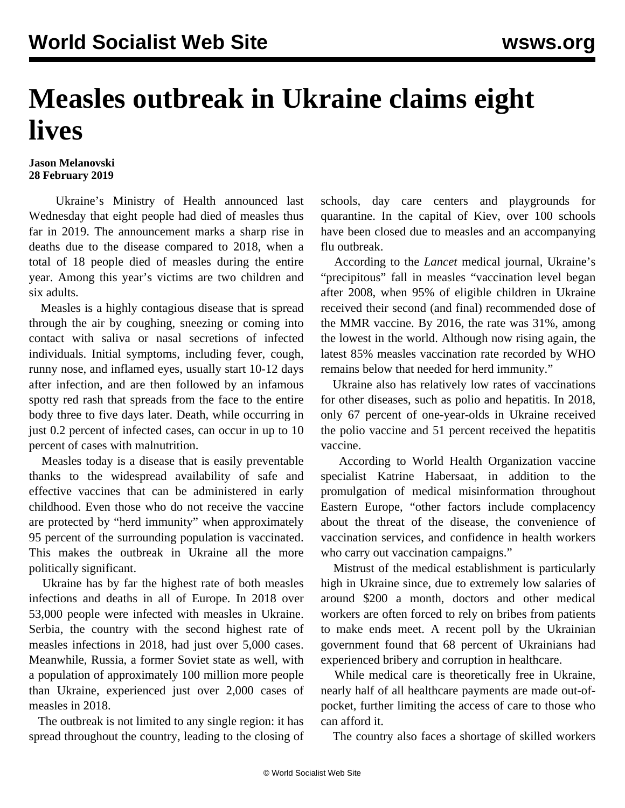## **Measles outbreak in Ukraine claims eight lives**

## **Jason Melanovski 28 February 2019**

 Ukraine's Ministry of Health announced last Wednesday that eight people had died of measles thus far in 2019. The announcement marks a sharp rise in deaths due to the disease compared to 2018, when a total of 18 people died of measles during the entire year. Among this year's victims are two children and six adults.

 Measles is a highly contagious disease that is spread through the air by coughing, sneezing or coming into contact with saliva or nasal secretions of infected individuals. Initial symptoms, including fever, cough, runny nose, and inflamed eyes, usually start 10-12 days after infection, and are then followed by an infamous spotty red rash that spreads from the face to the entire body three to five days later. Death, while occurring in just 0.2 percent of infected cases, can occur in up to 10 percent of cases with malnutrition.

 Measles today is a disease that is easily preventable thanks to the widespread availability of safe and effective vaccines that can be administered in early childhood. Even those who do not receive the vaccine are protected by "herd immunity" when approximately 95 percent of the surrounding population is vaccinated. This makes the outbreak in Ukraine all the more politically significant.

 Ukraine has by far the highest rate of both measles infections and deaths in all of Europe. In 2018 over 53,000 people were infected with measles in Ukraine. Serbia, the country with the second highest rate of measles infections in 2018, had just over 5,000 cases. Meanwhile, Russia, a former Soviet state as well, with a population of approximately 100 million more people than Ukraine, experienced just over 2,000 cases of measles in 2018.

 The outbreak is not limited to any single region: it has spread throughout the country, leading to the closing of schools, day care centers and playgrounds for quarantine. In the capital of Kiev, over 100 schools have been closed due to measles and an accompanying flu outbreak.

 According to the *Lancet* medical journal, Ukraine's "precipitous" fall in measles "vaccination level began after 2008, when 95% of eligible children in Ukraine received their second (and final) recommended dose of the MMR vaccine. By 2016, the rate was 31%, among the lowest in the world. Although now rising again, the latest 85% measles vaccination rate recorded by WHO remains below that needed for herd immunity."

 Ukraine also has relatively low rates of vaccinations for other diseases, such as polio and hepatitis. In 2018, only 67 percent of one-year-olds in Ukraine received the polio vaccine and 51 percent received the hepatitis vaccine.

 According to World Health Organization vaccine specialist Katrine Habersaat, in addition to the promulgation of medical misinformation throughout Eastern Europe, "other factors include complacency about the threat of the disease, the convenience of vaccination services, and confidence in health workers who carry out vaccination campaigns."

 Mistrust of the medical establishment is particularly high in Ukraine since, due to extremely low salaries of around \$200 a month, doctors and other medical workers are often forced to rely on bribes from patients to make ends meet. A recent poll by the Ukrainian government found that 68 percent of Ukrainians had experienced bribery and corruption in healthcare.

 While medical care is theoretically free in Ukraine, nearly half of all healthcare payments are made out-ofpocket, further limiting the access of care to those who can afford it.

The country also faces a shortage of skilled workers